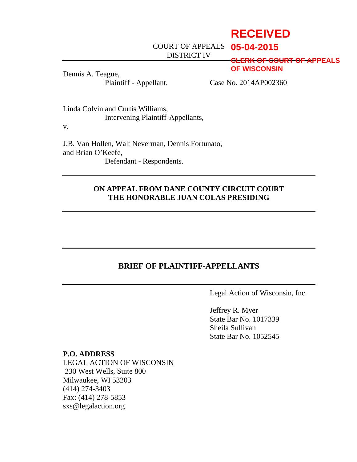# **RECEIVED**

COURT OF APPEALS **05-04-2015**

DISTRICT IV

**CLERK OF COURT OF APPEALS OF WISCONSIN**

Dennis A. Teague,

Plaintiff - Appellant, Case No. 2014AP002360

Linda Colvin and Curtis Williams, Intervening Plaintiff-Appellants,

v.

J.B. Van Hollen, Walt Neverman, Dennis Fortunato, and Brian O'Keefe, Defendant - Respondents.

## **ON APPEAL FROM DANE COUNTY CIRCUIT COURT THE HONORABLE JUAN COLAS PRESIDING**

## **BRIEF OF PLAINTIFF-APPELLANTS**

Legal Action of Wisconsin, Inc.

Jeffrey R. Myer State Bar No. 1017339 Sheila Sullivan State Bar No. 1052545

#### **P.O. ADDRESS**

LEGAL ACTION OF WISCONSIN 230 West Wells, Suite 800 Milwaukee, WI 53203 (414) 274-3403 Fax: (414) 278-5853 sxs@legalaction.org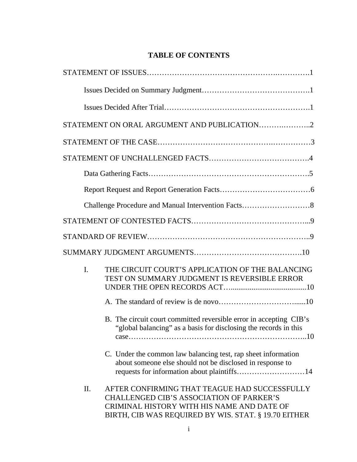## **TABLE OF CONTENTS**

|     | STATEMENT ON ORAL ARGUMENT AND PUBLICATION2                                                                                                                                                            |
|-----|--------------------------------------------------------------------------------------------------------------------------------------------------------------------------------------------------------|
|     |                                                                                                                                                                                                        |
|     |                                                                                                                                                                                                        |
|     |                                                                                                                                                                                                        |
|     |                                                                                                                                                                                                        |
|     |                                                                                                                                                                                                        |
|     |                                                                                                                                                                                                        |
|     |                                                                                                                                                                                                        |
|     |                                                                                                                                                                                                        |
| I.  | THE CIRCUIT COURT'S APPLICATION OF THE BALANCING<br>TEST ON SUMMARY JUDGMENT IS REVERSIBLE ERROR                                                                                                       |
|     |                                                                                                                                                                                                        |
|     | B. The circuit court committed reversible error in accepting CIB's<br>"global balancing" as a basis for disclosing the records in this                                                                 |
|     | C. Under the common law balancing test, rap sheet information<br>about someone else should not be disclosed in response to<br>requests for information about plaintiffs14                              |
| II. | AFTER CONFIRMING THAT TEAGUE HAD SUCCESSFULLY<br><b>CHALLENGED CIB'S ASSOCIATION OF PARKER'S</b><br>CRIMINAL HISTORY WITH HIS NAME AND DATE OF<br>BIRTH, CIB WAS REQUIRED BY WIS. STAT. § 19.70 EITHER |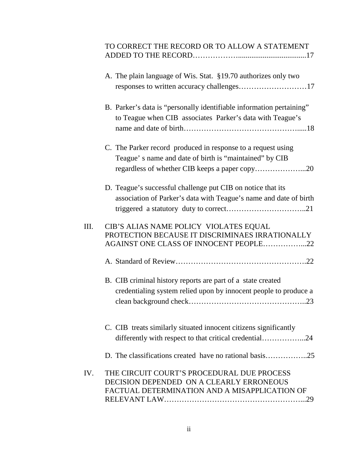## TO CORRECT THE RECORD OR TO ALLOW A STATEMENT ADDED TO THE RECORD………………....................................17

|      | A. The plain language of Wis. Stat. §19.70 authorizes only two<br>responses to written accuracy challenges17                            |
|------|-----------------------------------------------------------------------------------------------------------------------------------------|
|      | B. Parker's data is "personally identifiable information pertaining"<br>to Teague when CIB associates Parker's data with Teague's       |
|      | C. The Parker record produced in response to a request using<br>Teague's name and date of birth is "maintained" by CIB                  |
|      | D. Teague's successful challenge put CIB on notice that its<br>association of Parker's data with Teague's name and date of birth        |
| III. | CIB'S ALIAS NAME POLICY VIOLATES EQUAL<br>PROTECTION BECAUSE IT DISCRIMINAES IRRATIONALLY<br>AGAINST ONE CLASS OF INNOCENT PEOPLE22     |
|      |                                                                                                                                         |
|      | B. CIB criminal history reports are part of a state created<br>credentialing system relied upon by innocent people to produce a         |
|      | C. CIB treats similarly situated innocent citizens significantly<br>differently with respect to that critical credential24              |
|      |                                                                                                                                         |
| IV.  | THE CIRCUIT COURT'S PROCEDURAL DUE PROCESS<br>DECISION DEPENDED ON A CLEARLY ERRONEOUS<br>FACTUAL DETERMINATION AND A MISAPPLICATION OF |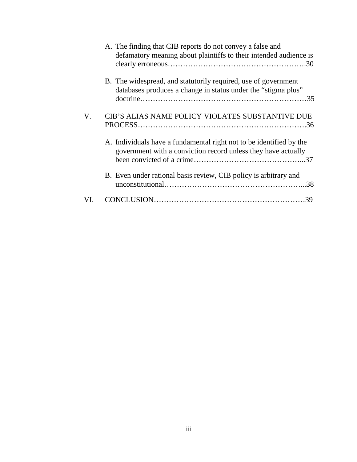|     | A. The finding that CIB reports do not convey a false and<br>defamatory meaning about plaintiffs to their intended audience is       |
|-----|--------------------------------------------------------------------------------------------------------------------------------------|
|     | B. The widespread, and statutorily required, use of government<br>databases produces a change in status under the "stigma plus"      |
| V.  | CIB'S ALIAS NAME POLICY VIOLATES SUBSTANTIVE DUE                                                                                     |
|     | A. Individuals have a fundamental right not to be identified by the<br>government with a conviction record unless they have actually |
|     | B. Even under rational basis review, CIB policy is arbitrary and                                                                     |
| VI. |                                                                                                                                      |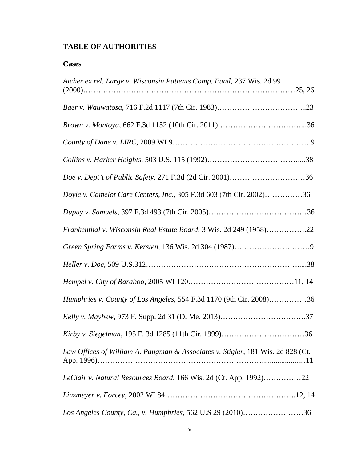## **TABLE OF AUTHORITIES**

## **Cases**

| Aicher ex rel. Large v. Wisconsin Patients Comp. Fund, 237 Wis. 2d 99           |
|---------------------------------------------------------------------------------|
|                                                                                 |
|                                                                                 |
|                                                                                 |
|                                                                                 |
|                                                                                 |
| Doyle v. Camelot Care Centers, Inc., 305 F.3d 603 (7th Cir. 2002)36             |
|                                                                                 |
| Frankenthal v. Wisconsin Real Estate Board, 3 Wis. 2d 249 (1958)22              |
|                                                                                 |
|                                                                                 |
|                                                                                 |
| Humphries v. County of Los Angeles, 554 F.3d 1170 (9th Cir. 2008)36             |
|                                                                                 |
|                                                                                 |
| Law Offices of William A. Pangman & Associates v. Stigler, 181 Wis. 2d 828 (Ct. |
| LeClair v. Natural Resources Board, 166 Wis. 2d (Ct. App. 1992)22               |
|                                                                                 |
| Los Angeles County, Ca., v. Humphries, 562 U.S 29 (2010)36                      |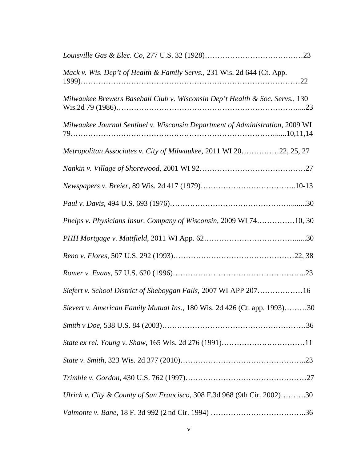| Mack v. Wis. Dep't of Health & Family Servs., 231 Wis. 2d 644 (Ct. App.       |  |
|-------------------------------------------------------------------------------|--|
| Milwaukee Brewers Baseball Club v. Wisconsin Dep't Health & Soc. Servs., 130  |  |
| Milwaukee Journal Sentinel v. Wisconsin Department of Administration, 2009 WI |  |
| Metropolitan Associates v. City of Milwaukee, 2011 WI 2022, 25, 27            |  |
|                                                                               |  |
|                                                                               |  |
|                                                                               |  |
| Phelps v. Physicians Insur. Company of Wisconsin, 2009 WI 7410, 30            |  |
|                                                                               |  |
|                                                                               |  |
|                                                                               |  |
| Siefert v. School District of Sheboygan Falls, 2007 WI APP 20716              |  |
| Sievert v. American Family Mutual Ins., 180 Wis. 2d 426 (Ct. app. 1993)30     |  |
|                                                                               |  |
|                                                                               |  |
|                                                                               |  |
|                                                                               |  |
| Ulrich v. City & County of San Francisco, 308 F.3d 968 (9th Cir. 2002)30      |  |
|                                                                               |  |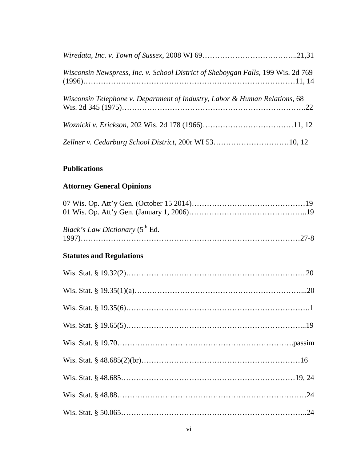| Wisconsin Newspress, Inc. v. School District of Sheboygan Falls, 199 Wis. 2d 769 |  |
|----------------------------------------------------------------------------------|--|
| Wisconsin Telephone v. Department of Industry, Labor & Human Relations, 68       |  |
|                                                                                  |  |
| Zellner v. Cedarburg School District, 200r WI 5310, 12                           |  |

## **Publications**

## **Attorney General Opinions**

| <i>Black's Law Dictionary</i> (5 <sup>th</sup> Ed. |  |
|----------------------------------------------------|--|
| <b>Statutes and Regulations</b>                    |  |
|                                                    |  |
|                                                    |  |
|                                                    |  |
|                                                    |  |
|                                                    |  |
|                                                    |  |
|                                                    |  |
|                                                    |  |
|                                                    |  |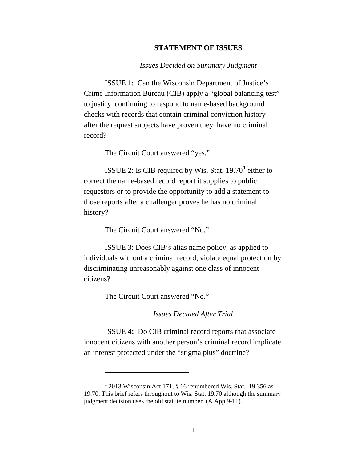#### **STATEMENT OF ISSUES**

#### *Issues Decided on Summary Judgment*

ISSUE 1: Can the Wisconsin Department of Justice's Crime Information Bureau (CIB) apply a "global balancing test" to justify continuing to respond to name-based background checks with records that contain criminal conviction history after the request subjects have proven they have no criminal record?

The Circuit Court answered "yes."

ISSUE 2: Is CIB required by Wis. Stat. 19.70**[1](#page-8-0)** either to correct the name-based record report it supplies to public requestors or to provide the opportunity to add a statement to those reports after a challenger proves he has no criminal history?

The Circuit Court answered "No."

ISSUE 3: Does CIB's alias name policy, as applied to individuals without a criminal record, violate equal protection by discriminating unreasonably against one class of innocent citizens?

The Circuit Court answered "No."

 $\overline{\phantom{a}}$ 

*Issues Decided After Trial*

ISSUE 4**:** Do CIB criminal record reports that associate innocent citizens with another person's criminal record implicate an interest protected under the "stigma plus" doctrine?

<span id="page-8-0"></span> $1$  2013 Wisconsin Act 171, § 16 renumbered Wis. Stat. 19.356 as 19.70. This brief refers throughout to Wis. Stat. 19.70 although the summary judgment decision uses the old statute number. (A.App 9-11).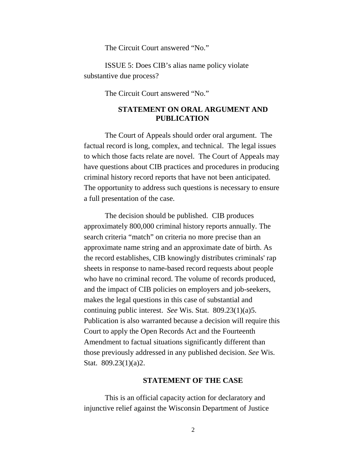The Circuit Court answered "No."

ISSUE 5: Does CIB's alias name policy violate substantive due process?

The Circuit Court answered "No."

### **STATEMENT ON ORAL ARGUMENT AND PUBLICATION**

The Court of Appeals should order oral argument. The factual record is long, complex, and technical. The legal issues to which those facts relate are novel. The Court of Appeals may have questions about CIB practices and procedures in producing criminal history record reports that have not been anticipated. The opportunity to address such questions is necessary to ensure a full presentation of the case.

The decision should be published. CIB produces approximately 800,000 criminal history reports annually. The search criteria "match" on criteria no more precise than an approximate name string and an approximate date of birth. As the record establishes, CIB knowingly distributes criminals' rap sheets in response to name-based record requests about people who have no criminal record. The volume of records produced, and the impact of CIB policies on employers and job-seekers, makes the legal questions in this case of substantial and continuing public interest. *See* Wis. Stat. 809.23(1)(a)5. Publication is also warranted because a decision will require this Court to apply the Open Records Act and the Fourteenth Amendment to factual situations significantly different than those previously addressed in any published decision. *See* Wis. Stat. 809.23(1)(a)2.

#### **STATEMENT OF THE CASE**

This is an official capacity action for declaratory and injunctive relief against the Wisconsin Department of Justice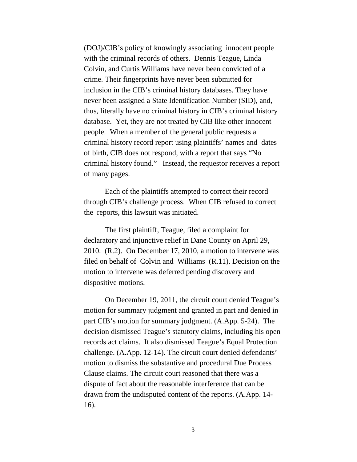(DOJ)/CIB's policy of knowingly associating innocent people with the criminal records of others. Dennis Teague, Linda Colvin, and Curtis Williams have never been convicted of a crime. Their fingerprints have never been submitted for inclusion in the CIB's criminal history databases. They have never been assigned a State Identification Number (SID), and, thus, literally have no criminal history in CIB's criminal history database. Yet, they are not treated by CIB like other innocent people. When a member of the general public requests a criminal history record report using plaintiffs' names and dates of birth, CIB does not respond, with a report that says "No criminal history found." Instead, the requestor receives a report of many pages.

Each of the plaintiffs attempted to correct their record through CIB's challenge process. When CIB refused to correct the reports, this lawsuit was initiated.

The first plaintiff, Teague, filed a complaint for declaratory and injunctive relief in Dane County on April 29, 2010. (R.2). On December 17, 2010, a motion to intervene was filed on behalf of Colvin and Williams (R.11). Decision on the motion to intervene was deferred pending discovery and dispositive motions.

On December 19, 2011, the circuit court denied Teague's motion for summary judgment and granted in part and denied in part CIB's motion for summary judgment. (A.App. 5-24). The decision dismissed Teague's statutory claims, including his open records act claims. It also dismissed Teague's Equal Protection challenge. (A.App. 12-14). The circuit court denied defendants' motion to dismiss the substantive and procedural Due Process Clause claims. The circuit court reasoned that there was a dispute of fact about the reasonable interference that can be drawn from the undisputed content of the reports. (A.App. 14- 16).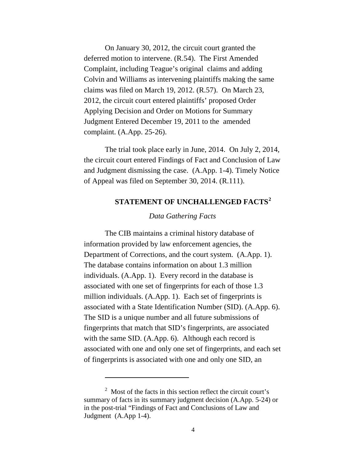On January 30, 2012, the circuit court granted the deferred motion to intervene. (R.54). The First Amended Complaint, including Teague's original claims and adding Colvin and Williams as intervening plaintiffs making the same claims was filed on March 19, 2012. (R.57). On March 23, 2012, the circuit court entered plaintiffs' proposed Order Applying Decision and Order on Motions for Summary Judgment Entered December 19, 2011 to the amended complaint. (A.App. 25-26).

The trial took place early in June, 2014. On July 2, 2014, the circuit court entered Findings of Fact and Conclusion of Law and Judgment dismissing the case. (A.App. 1-4). Timely Notice of Appeal was filed on September 30, 2014. (R.111).

## **STATEMENT OF UNCHALLENGED FACTS[2](#page-11-0)**

#### *Data Gathering Facts*

The CIB maintains a criminal history database of information provided by law enforcement agencies, the Department of Corrections, and the court system. (A.App. 1). The database contains information on about 1.3 million individuals. (A.App. 1)*.* Every record in the database is associated with one set of fingerprints for each of those 1.3 million individuals. (A.App. 1). Each set of fingerprints is associated with a State Identification Number (SID). (A.App. 6). The SID is a unique number and all future submissions of fingerprints that match that SID's fingerprints, are associated with the same SID. (A.App. 6). Although each record is associated with one and only one set of fingerprints, and each set of fingerprints is associated with one and only one SID, an

 $\overline{\phantom{a}}$ 

<span id="page-11-0"></span><sup>2</sup> Most of the facts in this section reflect the circuit court's summary of facts in its summary judgment decision (A.App. 5-24) or in the post-trial "Findings of Fact and Conclusions of Law and Judgment (A.App 1-4).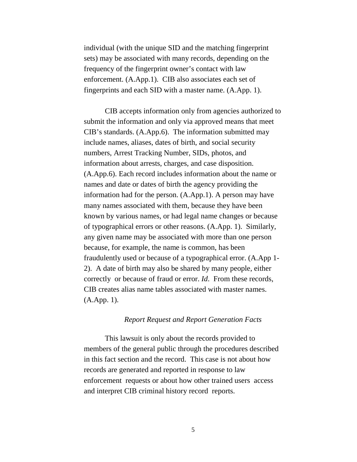individual (with the unique SID and the matching fingerprint sets) may be associated with many records, depending on the frequency of the fingerprint owner's contact with law enforcement. (A.App.1). CIB also associates each set of fingerprints and each SID with a master name. (A.App. 1).

CIB accepts information only from agencies authorized to submit the information and only via approved means that meet CIB's standards. (A.App.6). The information submitted may include names, aliases, dates of birth, and social security numbers, Arrest Tracking Number, SIDs, photos, and information about arrests, charges, and case disposition. (A.App.6). Each record includes information about the name or names and date or dates of birth the agency providing the information had for the person. (A.App.1). A person may have many names associated with them, because they have been known by various names, or had legal name changes or because of typographical errors or other reasons. (A.App. 1). Similarly, any given name may be associated with more than one person because, for example, the name is common, has been fraudulently used or because of a typographical error. (A.App 1- 2). A date of birth may also be shared by many people, either correctly or because of fraud or error. *Id*. From these records, CIB creates alias name tables associated with master names. (A.App. 1).

#### *Report Request and Report Generation Facts*

This lawsuit is only about the records provided to members of the general public through the procedures described in this fact section and the record. This case is not about how records are generated and reported in response to law enforcement requests or about how other trained users access and interpret CIB criminal history record reports.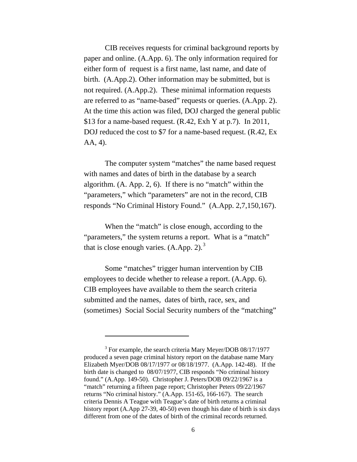CIB receives requests for criminal background reports by paper and online. (A.App. 6). The only information required for either form of request is a first name, last name, and date of birth. (A.App.2). Other information may be submitted, but is not required. (A.App.2). These minimal information requests are referred to as "name-based" requests or queries. (A.App. 2). At the time this action was filed, DOJ charged the general public \$13 for a name-based request. (R.42, Exh Y at p.7). In 2011, DOJ reduced the cost to \$7 for a name-based request. (R.42, Ex AA, 4).

The computer system "matches" the name based request with names and dates of birth in the database by a search algorithm. (A. App. 2, 6). If there is no "match" within the "parameters," which "parameters" are not in the record, CIB responds "No Criminal History Found." (A.App. 2,7,150,167).

When the "match" is close enough, according to the "parameters," the system returns a report. What is a "match" that is close enough varies.  $(A. App. 2).$ <sup>[3](#page-13-0)</sup>

Some "matches" trigger human intervention by CIB employees to decide whether to release a report. (A.App. 6). CIB employees have available to them the search criteria submitted and the names, dates of birth, race, sex, and (sometimes) Social Social Security numbers of the "matching"

 $\overline{\phantom{a}}$ 

<span id="page-13-0"></span><sup>&</sup>lt;sup>3</sup> For example, the search criteria Mary Meyer/DOB 08/17/1977 produced a seven page criminal history report on the database name Mary Elizabeth Myer/DOB 08/17/1977 or 08/18/1977. (A.App. 142-48). If the birth date is changed to 08/07/1977, CIB responds "No criminal history found." (A.App. 149-50). Christopher J. Peters/DOB 09/22/1967 is a "match" returning a fifteen page report; Christopher Peters 09/22/1967 returns "No criminal history." (A.App. 151-65, 166-167). The search criteria Dennis A Teague with Teague's date of birth returns a criminal history report (A.App 27-39, 40-50) even though his date of birth is six days different from one of the dates of birth of the criminal records returned.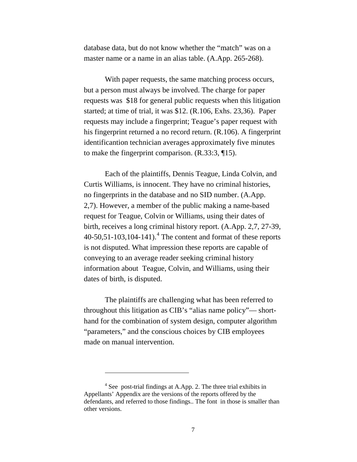database data, but do not know whether the "match" was on a master name or a name in an alias table. (A.App. 265-268).

With paper requests, the same matching process occurs, but a person must always be involved. The charge for paper requests was \$18 for general public requests when this litigation started; at time of trial, it was \$12. (R.106, Exhs. 23,36). Paper requests may include a fingerprint; Teague's paper request with his fingerprint returned a no record return. (R.106). A fingerprint identificantion technician averages approximately five minutes to make the fingerprint comparison. (R.33:3, ¶15).

Each of the plaintiffs, Dennis Teague, Linda Colvin, and Curtis Williams, is innocent. They have no criminal histories, no fingerprints in the database and no SID number. (A.App. 2,7). However, a member of the public making a name-based request for Teague, Colvin or Williams, using their dates of birth, receives a long criminal history report. (A.App. 2,7, 27-39,  $40-50,51-103,104-141$  $40-50,51-103,104-141$ .<sup>4</sup> The content and format of these reports is not disputed. What impression these reports are capable of conveying to an average reader seeking criminal history information about Teague, Colvin, and Williams, using their dates of birth, is disputed.

The plaintiffs are challenging what has been referred to throughout this litigation as CIB's "alias name policy"— shorthand for the combination of system design, computer algorithm "parameters," and the conscious choices by CIB employees made on manual intervention.

l

<span id="page-14-0"></span><sup>4</sup> See post-trial findings at A.App. 2. The three trial exhibits in Appellants' Appendix are the versions of the reports offered by the defendants, and referred to those findings.. The font in those is smaller than other versions.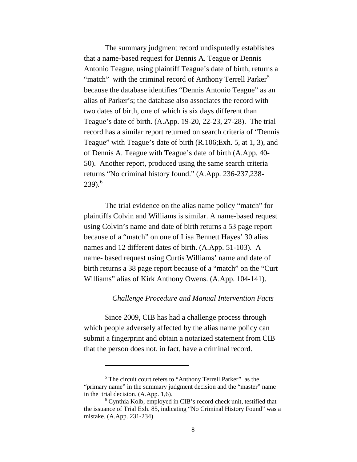The summary judgment record undisputedly establishes that a name-based request for Dennis A. Teague or Dennis Antonio Teague, using plaintiff Teague's date of birth, returns a "match" with the criminal record of Anthony Terrell Parker<sup>[5](#page-15-0)</sup> because the database identifies "Dennis Antonio Teague" as an alias of Parker's; the database also associates the record with two dates of birth, one of which is six days different than Teague's date of birth. (A.App. 19-20, 22-23, 27-28). The trial record has a similar report returned on search criteria of "Dennis Teague" with Teague's date of birth (R.106;Exh. 5, at 1, 3), and of Dennis A. Teague with Teague's date of birth (A.App. 40- 50). Another report, produced using the same search criteria returns "No criminal history found." (A.App. 236-237,238- 239). [6](#page-15-1)

The trial evidence on the alias name policy "match" for plaintiffs Colvin and Williams is similar. A name-based request using Colvin's name and date of birth returns a 53 page report because of a "match" on one of Lisa Bennett Hayes' 30 alias names and 12 different dates of birth. (A.App. 51-103). A name- based request using Curtis Williams' name and date of birth returns a 38 page report because of a "match" on the "Curt Williams" alias of Kirk Anthony Owens. (A.App. 104-141).

#### *Challenge Procedure and Manual Intervention Facts*

Since 2009, CIB has had a challenge process through which people adversely affected by the alias name policy can submit a fingerprint and obtain a notarized statement from CIB that the person does not, in fact, have a criminal record.

 $\overline{\phantom{a}}$ 

<span id="page-15-0"></span><sup>&</sup>lt;sup>5</sup> The circuit court refers to "Anthony Terrell Parker" as the "primary name" in the summary judgment decision and the "master" name in the trial decision. (A.App. 1,6). <sup>6</sup> Cynthia Kolb, employed in CIB's record check unit, testified that

<span id="page-15-1"></span>the issuance of Trial Exh. 85, indicating "No Criminal History Found" was a mistake. (A.App. 231-234).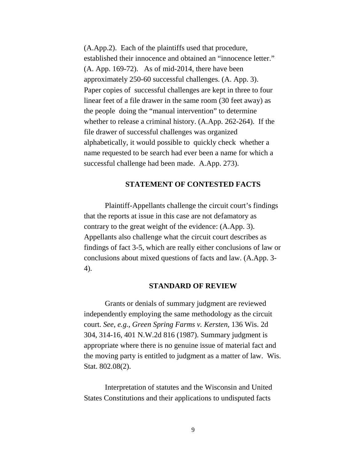(A.App.2). Each of the plaintiffs used that procedure, established their innocence and obtained an "innocence letter." (A. App. 169-72). As of mid-2014, there have been approximately 250-60 successful challenges. (A. App. 3). Paper copies of successful challenges are kept in three to four linear feet of a file drawer in the same room (30 feet away) as the people doing the "manual intervention" to determine whether to release a criminal history. (A.App. 262-264). If the file drawer of successful challenges was organized alphabetically, it would possible to quickly check whether a name requested to be search had ever been a name for which a successful challenge had been made. A.App. 273).

#### **STATEMENT OF CONTESTED FACTS**

Plaintiff-Appellants challenge the circuit court's findings that the reports at issue in this case are not defamatory as contrary to the great weight of the evidence: (A.App. 3). Appellants also challenge what the circuit court describes as findings of fact 3-5, which are really either conclusions of law or conclusions about mixed questions of facts and law. (A.App. 3- 4).

#### **STANDARD OF REVIEW**

Grants or denials of summary judgment are reviewed independently employing the same methodology as the circuit court. *See, e.g., Green Spring Farms v. Kersten*, 136 Wis. 2d 304, 314-16, 401 N.W.2d 816 (1987). Summary judgment is appropriate where there is no genuine issue of material fact and the moving party is entitled to judgment as a matter of law. Wis. Stat. 802.08(2).

Interpretation of statutes and the Wisconsin and United States Constitutions and their applications to undisputed facts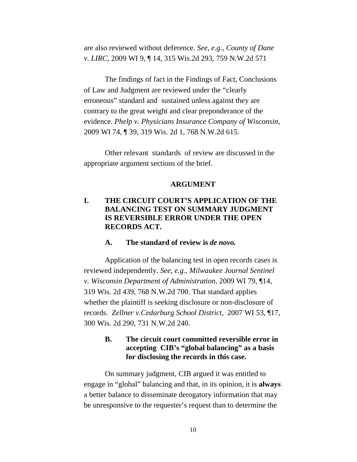are also reviewed without deference. *See, e.g., County of Dane v. LIRC,* 2009 WI 9, ¶ 14, 315 Wis.2d 293, 759 N.W.2d 571

The findings of fact in the Findings of Fact, Conclusions of Law and Judgment are reviewed under the "clearly erroneous" standard and sustained unless against they are contrary to the great weight and clear preponderance of the evidence. *Phelp v. Physicians Insurance Company of Wisconsin,* 2009 WI 74, ¶ 39, 319 Wis. 2d 1, 768 N.W.2d 615.

Other relevant standards of review are discussed in the appropriate argument sections of the brief.

#### **ARGUMENT**

## **I. THE CIRCUIT COURT'S APPLICATION OF THE BALANCING TEST ON SUMMARY JUDGMENT IS REVERSIBLE ERROR UNDER THE OPEN RECORDS ACT.**

#### **A. The standard of review is** *de novo.*

Application of the balancing test in open records cases is reviewed independently. *See, e.g., Milwaukee Journal Sentinel v. Wisconsin Department of Administration,* 2009 WI 79, ¶14, 319 Wis. 2d 439, 768 N.W.2d 700. That standard applies whether the plaintiff is seeking disclosure or non-disclosure of records. *Zellner v.Cedarburg School District,* 2007 WI 53, ¶17, 300 Wis. 2d 290, 731 N.W.2d 240.

## **B. The circuit court committed reversible error in accepting CIB's "global balancing" as a basis for disclosing the records in this case.**

On summary judgment, CIB argued it was entitled to engage in "global" balancing and that, in its opinion, it is **always**  a better balance to disseminate derogatory information that may be unresponsive to the requester's request than to determine the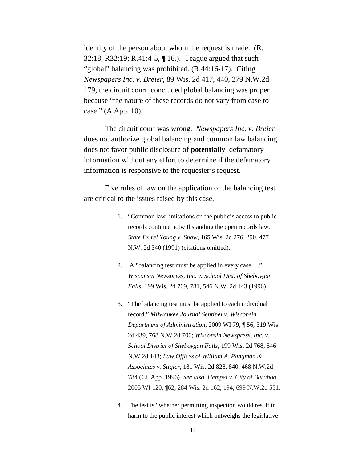identity of the person about whom the request is made. (R. 32:18, R32:19; R.41:4-5, ¶ 16.). Teague argued that such "global" balancing was prohibited. (R.44:16-17). Citing *Newspapers Inc. v. Breier,* 89 Wis. 2d 417, 440, 279 N.W.2d 179, the circuit court concluded global balancing was proper because "the nature of these records do not vary from case to case." (A.App. 10).

The circuit court was wrong. *Newspapers Inc. v. Breier*  does not authorize global balancing and common law balancing does not favor public disclosure of **potentially** defamatory information without any effort to determine if the defamatory information is responsive to the requester's request.

Five rules of law on the application of the balancing test are critical to the issues raised by this case.

- 1. "Common law limitations on the public's access to public records continue notwithstanding the open records law." *State Ex rel Young v. Shaw*, 165 Wis. 2d 276, 290, 477 N.W. 2d 340 (1991) (citations omitted).
- 2. A "balancing test must be applied in every case …" *Wisconsin Newspress, Inc. v. School Dist. of Sheboygan Falls*, 199 Wis. 2d 769, 781, 546 N.W. 2d 143 (1996).
- 3. "The balancing test must be applied to each individual record." *Milwaukee Journal Sentinel v. Wisconsin Department of Administration,* 2009 WI 79, ¶ 56, 319 Wis. 2d 439, 768 N.W.2d 700; *Wisconsin Newspress, Inc. v. School District of Sheboygan Falls,* 199 Wis. 2d 768, 546 N.W.2d 143; *Law Offices of William A. Pangman & Associates v. Stigler*, 181 Wis. 2d 828, 840, 468 N.W.2d 784 (Ct. App. 1996). *See also, Hempel v. City of Baraboo,* 2005 WI 120, ¶62, 284 Wis. 2d 162, 194, 699 N.W.2d 551.
- 4. The test is "whether permitting inspection would result in harm to the public interest which outweighs the legislative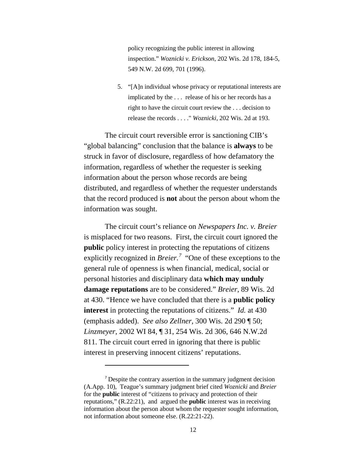policy recognizing the public interest in allowing inspection." *Woznicki v. Erickson*, 202 Wis. 2d 178, 184-5, 549 N.W. 2d 699, 701 (1996).

5. "[A]n individual whose privacy or reputational interests are implicated by the . . . release of his or her records has a right to have the circuit court review the . . . decision to release the records . . . ." *Woznicki,* 202 Wis. 2d at 193.

The circuit court reversible error is sanctioning CIB's "global balancing" conclusion that the balance is **always** to be struck in favor of disclosure, regardless of how defamatory the information, regardless of whether the requester is seeking information about the person whose records are being distributed, and regardless of whether the requester understands that the record produced is **not** about the person about whom the information was sought.

The circuit court's reliance on *Newspapers Inc. v. Breier* is misplaced for two reasons. First, the circuit court ignored the **public** policy interest in protecting the reputations of citizens explicitly recognized in *Breier*.<sup>[7](#page-19-0)</sup> "One of these exceptions to the general rule of openness is when financial, medical, social or personal histories and disciplinary data **which may unduly damage reputations** are to be considered." *Breier,* 89 Wis. 2d at 430. "Hence we have concluded that there is a **public policy interest** in protecting the reputations of citizens." *Id.* at 430 (emphasis added). *See also Zellner,* 300 Wis. 2d 290 ¶ 50; *Linzmeyer,* 2002 WI 84, ¶ 31, 254 Wis. 2d 306, 646 N.W.2d 811. The circuit court erred in ignoring that there is public interest in preserving innocent citizens' reputations.

 $\overline{\phantom{a}}$ 

<span id="page-19-0"></span><sup>7</sup> Despite the contrary assertion in the summary judgment decision (A.App. 10), Teague's summary judgment brief cited *Woznicki* and *Breier*  for the **public** interest of "citizens to privacy and protection of their reputations," (R.22:21), and argued the **public** interest was in receiving information about the person about whom the requester sought information, not information about someone else. (R.22:21-22).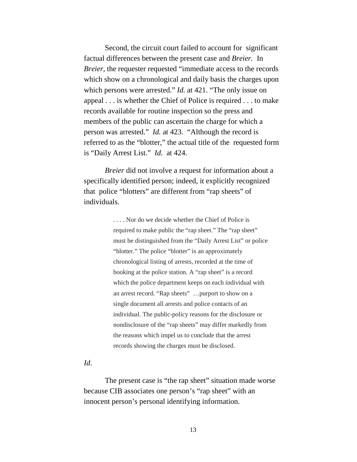Second, the circuit court failed to account for significant factual differences between the present case and *Breier.* In *Breier*, the requester requested "immediate access to the records which show on a chronological and daily basis the charges upon which persons were arrested." *Id.* at 421. "The only issue on appeal . . . is whether the Chief of Police is required . . . to make records available for routine inspection so the press and members of the public can ascertain the charge for which a person was arrested." *Id.* at 423. "Although the record is referred to as the "blotter," the actual title of the requested form is "Daily Arrest List." *Id.* at 424.

*Breier* did not involve a request for information about a specifically identified person; indeed, it explicitly recognized that police "blotters" are different from "rap sheets" of individuals.

> . . . . Nor do we decide whether the Chief of Police is required to make public the "rap sheet." The "rap sheet" must be distinguished from the "Daily Arrest List" or police "blotter." The police "blotter" is an approximately chronological listing of arrests, recorded at the time of booking at the police station. A "rap sheet" is a record which the police department keeps on each individual with an arrest record. "Rap sheets" …purport to show on a single document all arrests and police contacts of an individual. The public-policy reasons for the disclosure or nondisclosure of the "rap sheets" may differ markedly from the reasons which impel us to conclude that the arrest records showing the charges must be disclosed.

### *Id*.

The present case is "the rap sheet" situation made worse because CIB associates one person's "rap sheet" with an innocent person's personal identifying information.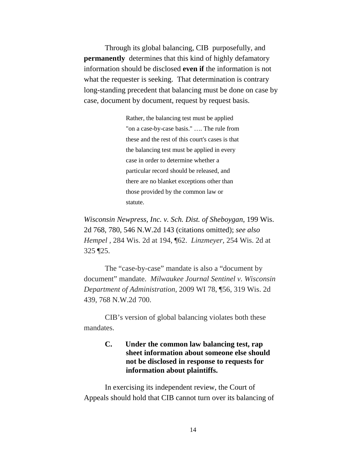Through its global balancing, CIB purposefully, and **permanently** determines that this kind of highly defamatory information should be disclosed **even if** the information is not what the requester is seeking. That determination is contrary long-standing precedent that balancing must be done on case by case, document by document, request by request basis.

> Rather, the balancing test must be applied "on a case-by-case basis." …. The rule from these and the rest of this court's cases is that the balancing test must be applied in every case in order to determine whether a particular record should be released, and there are no blanket exceptions other than those provided by the common law or statute.

*Wisconsin Newpress, Inc. v. Sch. Dist. of Sheboygan*, 199 Wis. 2d 768, 780, 546 N.W.2d 143 (citations omitted); *see also Hempel ,* 284 Wis. 2d at 194, ¶62. *Linzmeyer,* 254 Wis. 2d at 325 ¶25.

The "case-by-case" mandate is also a "document by document" mandate. *Milwaukee Journal Sentinel v. Wisconsin Department of Administration,* 2009 WI 78, ¶56, 319 Wis. 2d 439, 768 N.W.2d 700.

CIB's version of global balancing violates both these mandates.

## **C. Under the common law balancing test, rap sheet information about someone else should not be disclosed in response to requests for information about plaintiffs.**

In exercising its independent review, the Court of Appeals should hold that CIB cannot turn over its balancing of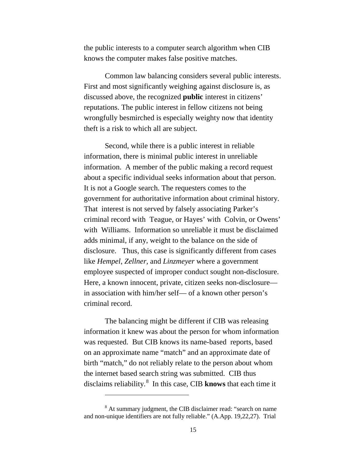the public interests to a computer search algorithm when CIB knows the computer makes false positive matches.

Common law balancing considers several public interests. First and most significantly weighing against disclosure is, as discussed above, the recognized **public** interest in citizens' reputations. The public interest in fellow citizens not being wrongfully besmirched is especially weighty now that identity theft is a risk to which all are subject.

Second, while there is a public interest in reliable information, there is minimal public interest in unreliable information. A member of the public making a record request about a specific individual seeks information about that person. It is not a Google search. The requesters comes to the government for authoritative information about criminal history. That interest is not served by falsely associating Parker's criminal record with Teague, or Hayes' with Colvin, or Owens' with Williams. Information so unreliable it must be disclaimed adds minimal, if any, weight to the balance on the side of disclosure. Thus, this case is significantly different from cases like *Hempel*, *Zellner,* and *Linzmeyer* where a government employee suspected of improper conduct sought non-disclosure. Here, a known innocent, private, citizen seeks non-disclosure in association with him/her self— of a known other person's criminal record.

The balancing might be different if CIB was releasing information it knew was about the person for whom information was requested. But CIB knows its name-based reports, based on an approximate name "match" and an approximate date of birth "match," do not reliably relate to the person about whom the internet based search string was submitted. CIB thus disclaims reliability.[8](#page-22-0) In this case, CIB **knows** that each time it

l

<span id="page-22-0"></span><sup>&</sup>lt;sup>8</sup> At summary judgment, the CIB disclaimer read: "search on name and non-unique identifiers are not fully reliable." (A.App. 19,22,27). Trial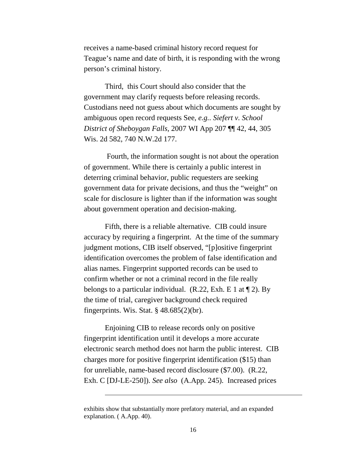receives a name-based criminal history record request for Teague's name and date of birth, it is responding with the wrong person's criminal history.

Third, this Court should also consider that the government may clarify requests before releasing records. Custodians need not guess about which documents are sought by ambiguous open record requests See, *e.g.*. *Siefert v. School District of Sheboygan Falls,* 2007 WI App 207 ¶¶ 42, 44, 305 Wis. 2d 582, 740 N.W.2d 177.

Fourth, the information sought is not about the operation of government. While there is certainly a public interest in deterring criminal behavior, public requesters are seeking government data for private decisions, and thus the "weight" on scale for disclosure is lighter than if the information was sought about government operation and decision-making.

Fifth, there is a reliable alternative. CIB could insure accuracy by requiring a fingerprint. At the time of the summary judgment motions, CIB itself observed, "[p]ositive fingerprint identification overcomes the problem of false identification and alias names. Fingerprint supported records can be used to confirm whether or not a criminal record in the file really belongs to a particular individual. (R.22, Exh. E 1 at  $\P$  2). By the time of trial, caregiver background check required fingerprints. Wis. Stat.  $\S$  48.685(2)(br).

Enjoining CIB to release records only on positive fingerprint identification until it develops a more accurate electronic search method does not harm the public interest. CIB charges more for positive fingerprint identification (\$15) than for unreliable, name-based record disclosure (\$7.00). (R.22, Exh. C [DJ-LE-250]). *See also* (A.App. 245). Increased prices

l

exhibits show that substantially more prefatory material, and an expanded explanation. ( A.App. 40).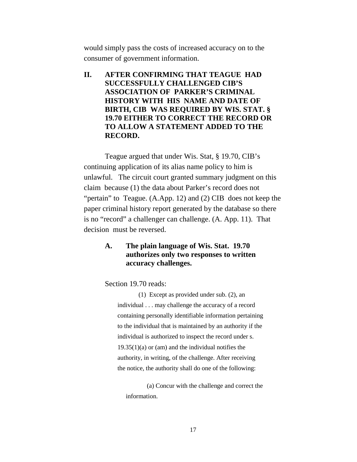would simply pass the costs of increased accuracy on to the consumer of government information.

**II. AFTER CONFIRMING THAT TEAGUE HAD SUCCESSFULLY CHALLENGED CIB'S ASSOCIATION OF PARKER'S CRIMINAL HISTORY WITH HIS NAME AND DATE OF BIRTH, CIB WAS REQUIRED BY WIS. STAT. § 19.70 EITHER TO CORRECT THE RECORD OR TO ALLOW A STATEMENT ADDED TO THE RECORD.**

Teague argued that under Wis. Stat, § 19.70, CIB's continuing application of its alias name policy to him is unlawful. The circuit court granted summary judgment on this claim because (1) the data about Parker's record does not "pertain" to Teague. (A.App. 12) and (2) CIB does not keep the paper criminal history report generated by the database so there is no "record" a challenger can challenge. (A. App. 11). That decision must be reversed.

### **A. The plain language of Wis. Stat. 19.70 authorizes only two responses to written accuracy challenges.**

Section 19.70 reads:

(1) Except as provided under sub. (2), an individual . . . may challenge the accuracy of a record containing personally identifiable information pertaining to the individual that is maintained by an authority if the individual is authorized to inspect the record under s.  $19.35(1)(a)$  or (am) and the individual notifies the authority, in writing, of the challenge. After receiving the notice, the authority shall do one of the following:

(a) Concur with the challenge and correct the information.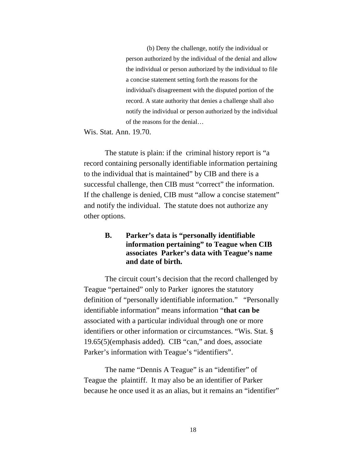(b) Deny the challenge, notify the individual or person authorized by the individual of the denial and allow the individual or person authorized by the individual to file a concise statement setting forth the reasons for the individual's disagreement with the disputed portion of the record. A state authority that denies a challenge shall also notify the individual or person authorized by the individual of the reasons for the denial…

Wis. Stat. Ann. 19.70.

The statute is plain: if the criminal history report is "a record containing personally identifiable information pertaining to the individual that is maintained" by CIB and there is a successful challenge, then CIB must "correct" the information. If the challenge is denied, CIB must "allow a concise statement" and notify the individual. The statute does not authorize any other options.

## **B. Parker's data is "personally identifiable information pertaining" to Teague when CIB associates Parker's data with Teague's name and date of birth.**

The circuit court's decision that the record challenged by Teague "pertained" only to Parker ignores the statutory definition of "personally identifiable information." "Personally identifiable information" means information "**that can be** associated with a particular individual through one or more identifiers or other information or circumstances. "Wis. Stat. § 19.65(5)(emphasis added). CIB "can," and does, associate Parker's information with Teague's "identifiers".

The name "Dennis A Teague" is an "identifier" of Teague the plaintiff. It may also be an identifier of Parker because he once used it as an alias, but it remains an "identifier"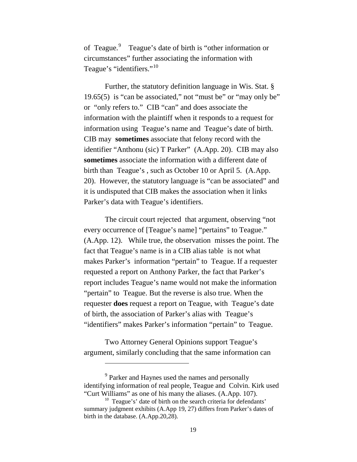of Teague.<sup>[9](#page-26-0)</sup> Teague's date of birth is "other information or circumstances" further associating the information with Teague's "identifiers."<sup>[10](#page-26-1)</sup>

Further, the statutory definition language in Wis. Stat. § 19.65(5) is "can be associated," not "must be" or "may only be" or "only refers to." CIB "can" and does associate the information with the plaintiff when it responds to a request for information using Teague's name and Teague's date of birth. CIB may **sometimes** associate that felony record with the identifier "Anthonu (sic) T Parker" (A.App. 20). CIB may also **sometimes** associate the information with a different date of birth than Teague's , such as October 10 or April 5. (A.App. 20). However, the statutory language is "can be associated" and it is undisputed that CIB makes the association when it links Parker's data with Teague's identifiers.

The circuit court rejected that argument, observing "not every occurrence of [Teague's name] "pertains" to Teague." (A.App. 12). While true, the observation misses the point. The fact that Teague's name is in a CIB alias table is not what makes Parker's information "pertain" to Teague. If a requester requested a report on Anthony Parker, the fact that Parker's report includes Teague's name would not make the information "pertain" to Teague. But the reverse is also true. When the requester **does** request a report on Teague, with Teague's date of birth, the association of Parker's alias with Teague's "identifiers" makes Parker's information "pertain" to Teague.

Two Attorney General Opinions support Teague's argument, similarly concluding that the same information can

l

<span id="page-26-0"></span><sup>&</sup>lt;sup>9</sup> Parker and Haynes used the names and personally identifying information of real people, Teague and Colvin. Kirk used "Curt Williams" as one of his many the aliases. (A.App. 107).

<span id="page-26-1"></span><sup>&</sup>lt;sup>10</sup> Teague's' date of birth on the search criteria for defendants' summary judgment exhibits (A.App 19, 27) differs from Parker's dates of birth in the database. (A.App.20,28).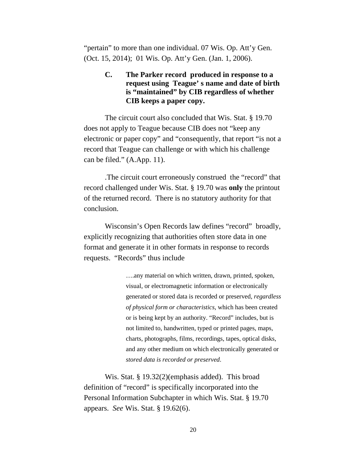"pertain" to more than one individual. 07 Wis. Op. Att'y Gen. (Oct. 15, 2014); 01 Wis. Op. Att'y Gen. (Jan. 1, 2006).

> **C. The Parker record produced in response to a request using Teague' s name and date of birth is "maintained" by CIB regardless of whether CIB keeps a paper copy.**

The circuit court also concluded that Wis. Stat. § 19.70 does not apply to Teague because CIB does not "keep any electronic or paper copy" and "consequently, that report "is not a record that Teague can challenge or with which his challenge can be filed." (A.App. 11).

.The circuit court erroneously construed the "record" that record challenged under Wis. Stat. § 19.70 was **only** the printout of the returned record. There is no statutory authority for that conclusion.

Wisconsin's Open Records law defines "record" broadly, explicitly recognizing that authorities often store data in one format and generate it in other formats in response to records requests. "Records" thus include

> ….any material on which written, drawn, printed, spoken, visual, or electromagnetic information or electronically generated or stored data is recorded or preserved*, regardless of physical form or characteristics*, which has been created or is being kept by an authority. "Record" includes, but is not limited to, handwritten, typed or printed pages, maps, charts, photographs, films, recordings, tapes, optical disks, and any other medium on which electronically generated or *stored data is recorded or preserved*.

Wis. Stat. § 19.32(2)(emphasis added). This broad definition of "record" is specifically incorporated into the Personal Information Subchapter in which Wis. Stat. § 19.70 appears. *See* Wis. Stat. § 19.62(6).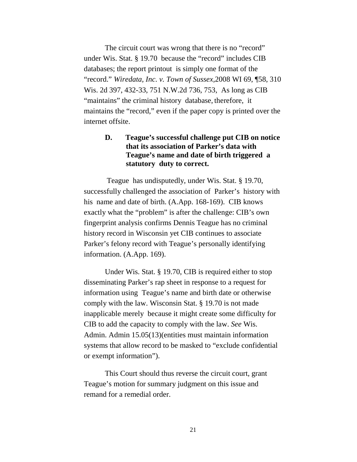The circuit court was wrong that there is no "record" under Wis. Stat. § 19.70 because the "record" includes CIB databases; the report printout is simply one format of the "record." *Wiredata, Inc. v. Town of Sussex,*2008 WI 69, ¶58, 310 Wis. 2d 397, 432-33, 751 N.W.2d 736, 753, As long as CIB "maintains" the criminal history database, therefore, it maintains the "record," even if the paper copy is printed over the internet offsite.

## **D. Teague's successful challenge put CIB on notice that its association of Parker's data with Teague's name and date of birth triggered a statutory duty to correct.**

Teague has undisputedly, under Wis. Stat. § 19.70, successfully challenged the association of Parker's history with his name and date of birth. (A.App. 168-169). CIB knows exactly what the "problem" is after the challenge: CIB's own fingerprint analysis confirms Dennis Teague has no criminal history record in Wisconsin yet CIB continues to associate Parker's felony record with Teague's personally identifying information. (A.App. 169).

Under Wis. Stat. § 19.70, CIB is required either to stop disseminating Parker's rap sheet in response to a request for information using Teague's name and birth date or otherwise comply with the law. Wisconsin Stat. § 19.70 is not made inapplicable merely because it might create some difficulty for CIB to add the capacity to comply with the law. *See* Wis. Admin. Admin 15.05(13)(entities must maintain information systems that allow record to be masked to "exclude confidential or exempt information").

This Court should thus reverse the circuit court, grant Teague's motion for summary judgment on this issue and remand for a remedial order.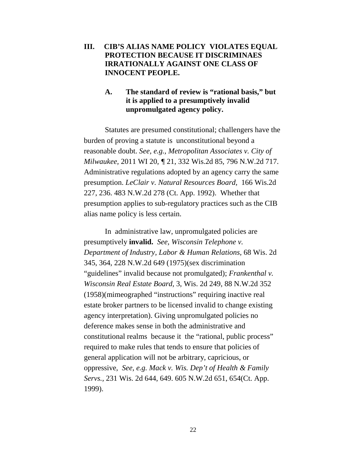## **III. CIB'S ALIAS NAME POLICY VIOLATES EQUAL PROTECTION BECAUSE IT DISCRIMINAES IRRATIONALLY AGAINST ONE CLASS OF INNOCENT PEOPLE.**

## **A. The standard of review is "rational basis," but it is applied to a presumptively invalid unpromulgated agency policy.**

Statutes are presumed constitutional; challengers have the burden of proving a statute is unconstitutional beyond a reasonable doubt. *See, e.g., Metropolitan Associates v. City of Milwaukee,* 2011 WI 20*, ¶* 21, 332 Wis.2d 85, 796 N.W.2d 717. Administrative regulations adopted by an agency carry the same presumption. *LeClair v. Natural Resources Board,* 166 Wis.2d 227, 236. 483 N.W.2d 278 (Ct. App. 1992). Whether that presumption applies to sub-regulatory practices such as the CIB alias name policy is less certain.

In administrative law, unpromulgated policies are presumptively **invalid.** *See, Wisconsin Telephone v. Department of Industry, Labor & Human Relations,* 68 Wis. 2d 345, 364, 228 N.W.2d 649 (1975)(sex discrimination "guidelines" invalid because not promulgated); *Frankenthal v. Wisconsin Real Estate Board,* 3, Wis. 2d 249, 88 N.W.2d 352 (1958)(mimeographed "instructions" requiring inactive real estate broker partners to be licensed invalid to change existing agency interpretation). Giving unpromulgated policies no deference makes sense in both the administrative and constitutional realms because it the "rational, public process" required to make rules that tends to ensure that policies of general application will not be arbitrary, capricious, or oppressive, *See, e.g. Mack v. Wis. Dep't of Health & Family Servs.,* 231 Wis. 2d 644, 649. 605 N.W.2d 651, 654(Ct. App. 1999).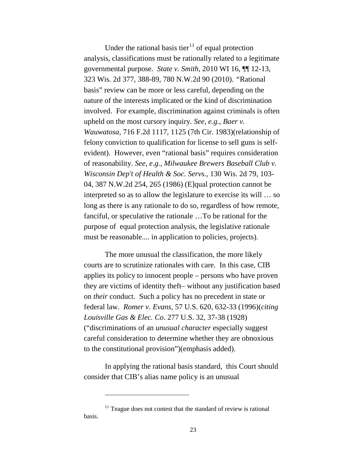Under the rational basis tier<sup>[11](#page-30-0)</sup> of equal protection analysis, classifications must be rationally related to a legitimate governmental purpose. *State v. Smith*, 2010 WI 16, ¶¶ 12-13, 323 Wis. 2d 377, 388-89, 780 N.W.2d 90 (2010). *"*Rational basis" review can be more or less careful, depending on the nature of the interests implicated or the kind of discrimination involved. For example, discrimination against criminals is often upheld on the most cursory inquiry. *See, e.g.*, *Baer v. Wauwatosa*, 716 F.2d 1117, 1125 (7th Cir. 1983)(relationship of felony conviction to qualification for license to sell guns is selfevident). However, even "rational basis" requires consideration of reasonability. *See, e.g., Milwaukee Brewers Baseball Club v. Wisconsin Dep't of Health & Soc. Servs.*, 130 Wis. 2d 79, 103- 04, 387 N.W.2d 254, 265 (1986) (E]qual protection cannot be interpreted so as to allow the legislature to exercise its will … so long as there is any rationale to do so, regardless of how remote, fanciful, or speculative the rationale …To be rational for the purpose of equal protection analysis, the legislative rationale must be reasonable.... in application to policies, projects).

The more unusual the classification, the more likely courts are to scrutinize rationales with care. In this case, CIB applies its policy to innocent people – persons who have proven they are victims of identity theft– without any justification based on *their* conduct. Such a policy has no precedent in state or federal law. *Romer v. Evans*, 57 U.S. 620, 632-33 (1996)(*citing Louisville Gas & Elec. Co*. 277 U.S. 32, 37-38 (1928) ("discriminations of an *unusual character* especially suggest careful consideration to determine whether they are obnoxious to the constitutional provision")(emphasis added).

In applying the rational basis standard, this Court should consider that CIB's alias name policy is an unusual

l

<span id="page-30-0"></span> $11$  Teague does not contest that the standard of review is rational basis.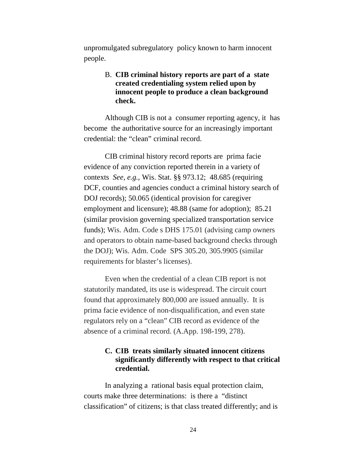unpromulgated subregulatory policy known to harm innocent people.

## B. **CIB criminal history reports are part of a state created credentialing system relied upon by innocent people to produce a clean background check.**

Although CIB is not a consumer reporting agency, it has become the authoritative source for an increasingly important credential: the "clean" criminal record.

CIB criminal history record reports are prima facie evidence of any conviction reported therein in a variety of contexts *See, e.g.,* Wis. Stat. §§ 973.12; 48.685 (requiring DCF, counties and agencies conduct a criminal history search of DOJ records); 50.065 (identical provision for caregiver employment and licensure); 48.88 (same for adoption); 85.21 (similar provision governing specialized transportation service funds); Wis. Adm. Code s DHS 175.01 (advising camp owners and operators to obtain name-based background checks through the DOJ); Wis. Adm. Code SPS 305.20, 305.9905 (similar requirements for blaster's licenses).

Even when the credential of a clean CIB report is not statutorily mandated, its use is widespread. The circuit court found that approximately 800,000 are issued annually. It is prima facie evidence of non-disqualification, and even state regulators rely on a "clean" CIB record as evidence of the absence of a criminal record. (A.App. 198-199, 278).

## **C. CIB treats similarly situated innocent citizens significantly differently with respect to that critical credential.**

In analyzing a rational basis equal protection claim, courts make three determinations: is there a "distinct classification" of citizens; is that class treated differently; and is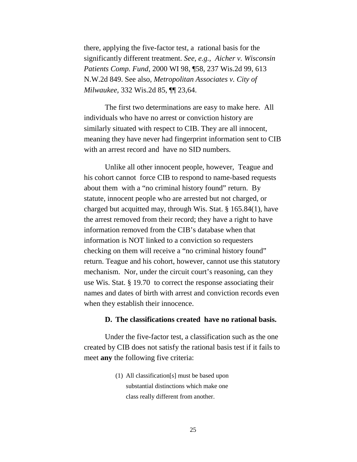there, applying the five-factor test, a rational basis for the significantly different treatment. *See, e.g., Aicher v. Wisconsin Patients Comp. Fund*, 2000 WI 98, ¶58, 237 Wis.2d 99, 613 N.W.2d 849. See also, *Metropolitan Associates v. City of Milwaukee,* 332 Wis.2d 85, ¶¶ 23,64.

The first two determinations are easy to make here. All individuals who have no arrest or conviction history are similarly situated with respect to CIB. They are all innocent, meaning they have never had fingerprint information sent to CIB with an arrest record and have no SID numbers.

Unlike all other innocent people, however, Teague and his cohort cannot force CIB to respond to name-based requests about them with a "no criminal history found" return. By statute, innocent people who are arrested but not charged, or charged but acquitted may, through Wis. Stat. § 165.84(1), have the arrest removed from their record; they have a right to have information removed from the CIB's database when that information is NOT linked to a conviction so requesters checking on them will receive a "no criminal history found" return. Teague and his cohort, however, cannot use this statutory mechanism. Nor, under the circuit court's reasoning, can they use Wis. Stat. § 19.70 to correct the response associating their names and dates of birth with arrest and conviction records even when they establish their innocence.

#### **D. The classifications created have no rational basis.**

Under the five-factor test, a classification such as the one created by CIB does not satisfy the rational basis test if it fails to meet **any** the following five criteria:

> (1) All classification[s] must be based upon substantial distinctions which make one class really different from another.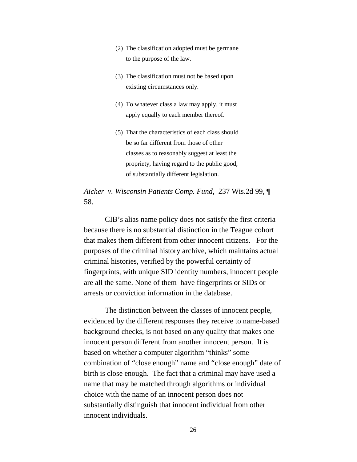- (2) The classification adopted must be germane to the purpose of the law.
- (3) The classification must not be based upon existing circumstances only.
- (4) To whatever class a law may apply, it must apply equally to each member thereof.
- (5) That the characteristics of each class should be so far different from those of other classes as to reasonably suggest at least the propriety, having regard to the public good, of substantially different legislation.

*Aicher v. Wisconsin Patients Comp. Fund,* 237 Wis.2d 99, ¶ 58.

CIB's alias name policy does not satisfy the first criteria because there is no substantial distinction in the Teague cohort that makes them different from other innocent citizens. For the purposes of the criminal history archive, which maintains actual criminal histories, verified by the powerful certainty of fingerprints, with unique SID identity numbers, innocent people are all the same. None of them have fingerprints or SIDs or arrests or conviction information in the database.

The distinction between the classes of innocent people, evidenced by the different responses they receive to name-based background checks, is not based on any quality that makes one innocent person different from another innocent person. It is based on whether a computer algorithm "thinks" some combination of "close enough" name and "close enough" date of birth is close enough. The fact that a criminal may have used a name that may be matched through algorithms or individual choice with the name of an innocent person does not substantially distinguish that innocent individual from other innocent individuals.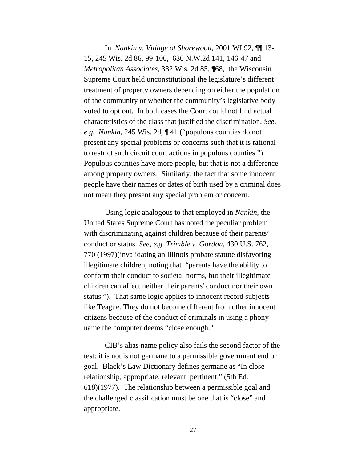In *Nankin v. Village of Shorewood*, 2001 WI 92, ¶¶ 13- 15, 245 Wis. 2d 86, 99-100, 630 N.W.2d 141, 146-47 and *Metropolitan Associates*, 332 Wis. 2d 85, ¶68, the Wisconsin Supreme Court held unconstitutional the legislature's different treatment of property owners depending on either the population of the community or whether the community's legislative body voted to opt out. In both cases the Court could not find actual characteristics of the class that justified the discrimination. *See, e.g. Nankin*, 245 Wis. 2d, ¶ 41 ("populous counties do not present any special problems or concerns such that it is rational to restrict such circuit court actions in populous counties.") Populous counties have more people, but that is not a difference among property owners. Similarly, the fact that some innocent people have their names or dates of birth used by a criminal does not mean they present any special problem or concern.

Using logic analogous to that employed in *Nankin,* the United States Supreme Court has noted the peculiar problem with discriminating against children because of their parents' conduct or status. *See, e.g. Trimble v. Gordon*, 430 U.S. 762, 770 (1997)(invalidating an Illinois probate statute disfavoring illegitimate children, noting that "parents have the ability to conform their conduct to societal norms, but their illegitimate children can affect neither their parents' conduct nor their own status."). That same logic applies to innocent record subjects like Teague. They do not become different from other innocent citizens because of the conduct of criminals in using a phony name the computer deems "close enough."

CIB's alias name policy also fails the second factor of the test: it is not is not germane to a permissible government end or goal. Black's Law Dictionary defines germane as "In close relationship, appropriate, relevant, pertinent." (5th Ed. 618)(1977). The relationship between a permissible goal and the challenged classification must be one that is "close" and appropriate.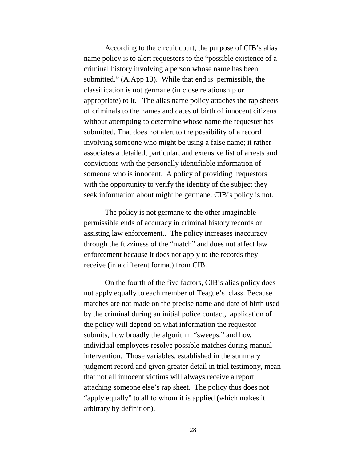According to the circuit court, the purpose of CIB's alias name policy is to alert requestors to the "possible existence of a criminal history involving a person whose name has been submitted." (A.App 13). While that end is permissible, the classification is not germane (in close relationship or appropriate) to it. The alias name policy attaches the rap sheets of criminals to the names and dates of birth of innocent citizens without attempting to determine whose name the requester has submitted. That does not alert to the possibility of a record involving someone who might be using a false name; it rather associates a detailed, particular, and extensive list of arrests and convictions with the personally identifiable information of someone who is innocent. A policy of providing requestors with the opportunity to verify the identity of the subject they seek information about might be germane. CIB's policy is not.

The policy is not germane to the other imaginable permissible ends of accuracy in criminal history records or assisting law enforcement.. The policy increases inaccuracy through the fuzziness of the "match" and does not affect law enforcement because it does not apply to the records they receive (in a different format) from CIB.

On the fourth of the five factors, CIB's alias policy does not apply equally to each member of Teague's class. Because matches are not made on the precise name and date of birth used by the criminal during an initial police contact, application of the policy will depend on what information the requestor submits, how broadly the algorithm "sweeps," and how individual employees resolve possible matches during manual intervention. Those variables, established in the summary judgment record and given greater detail in trial testimony, mean that not all innocent victims will always receive a report attaching someone else's rap sheet. The policy thus does not "apply equally" to all to whom it is applied (which makes it arbitrary by definition).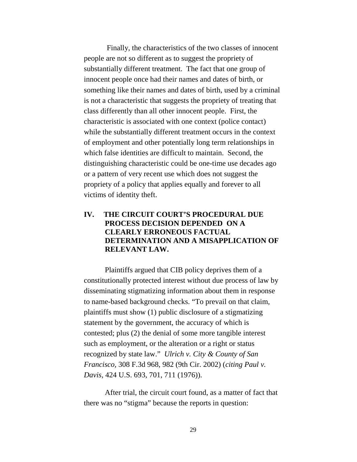Finally, the characteristics of the two classes of innocent people are not so different as to suggest the propriety of substantially different treatment. The fact that one group of innocent people once had their names and dates of birth, or something like their names and dates of birth, used by a criminal is not a characteristic that suggests the propriety of treating that class differently than all other innocent people. First, the characteristic is associated with one context (police contact) while the substantially different treatment occurs in the context of employment and other potentially long term relationships in which false identities are difficult to maintain. Second, the distinguishing characteristic could be one-time use decades ago or a pattern of very recent use which does not suggest the propriety of a policy that applies equally and forever to all victims of identity theft.

## **IV. THE CIRCUIT COURT'S PROCEDURAL DUE PROCESS DECISION DEPENDED ON A CLEARLY ERRONEOUS FACTUAL DETERMINATION AND A MISAPPLICATION OF RELEVANT LAW.**

Plaintiffs argued that CIB policy deprives them of a constitutionally protected interest without due process of law by disseminating stigmatizing information about them in response to name-based background checks. "To prevail on that claim, plaintiffs must show (1) public disclosure of a stigmatizing statement by the government, the accuracy of which is contested; plus (2) the denial of some more tangible interest such as employment, or the alteration or a right or status recognized by state law." *Ulrich v. City & County of San Francisco,* 308 F.3d 968, 982 (9th Cir. 2002) (*citing Paul v. Davis,* 424 U.S. 693, 701, 711 (1976)).

After trial, the circuit court found, as a matter of fact that there was no "stigma" because the reports in question: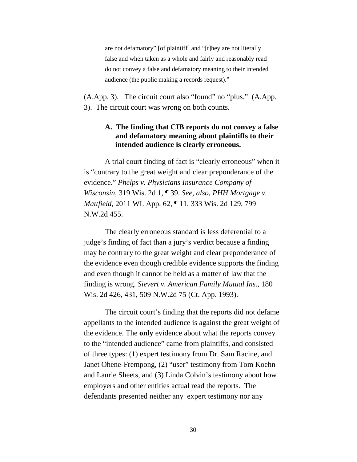are not defamatory" [of plaintiff] and "[t]hey are not literally false and when taken as a whole and fairly and reasonably read do not convey a false and defamatory meaning to their intended audience (the public making a records request)."

(A.App. 3). The circuit court also "found" no "plus." (A.App. 3). The circuit court was wrong on both counts.

## **A. The finding that CIB reports do not convey a false and defamatory meaning about plaintiffs to their intended audience is clearly erroneous.**

A trial court finding of fact is "clearly erroneous" when it is "contrary to the great weight and clear preponderance of the evidence." *Phelps v. Physicians Insurance Company of Wisconsin,* 319 Wis. 2d 1, ¶ 39. *See, also, PHH Mortgage v. Mattfield*, 2011 WI. App. 62, ¶ 11, 333 Wis. 2d 129, 799 N.W.2d 455.

The clearly erroneous standard is less deferential to a judge's finding of fact than a jury's verdict because a finding may be contrary to the great weight and clear preponderance of the evidence even though credible evidence supports the finding and even though it cannot be held as a matter of law that the finding is wrong. *Sievert v. American Family Mutual Ins.,* 180 Wis. 2d 426, 431, 509 N.W.2d 75 (Ct. App. 1993).

The circuit court's finding that the reports did not defame appellants to the intended audience is against the great weight of the evidence. The **only** evidence about what the reports convey to the "intended audience" came from plaintiffs, and consisted of three types: (1) expert testimony from Dr. Sam Racine, and Janet Ohene-Frempong, (2) "user" testimony from Tom Koehn and Laurie Sheets, and (3) Linda Colvin's testimony about how employers and other entities actual read the reports. The defendants presented neither any expert testimony nor any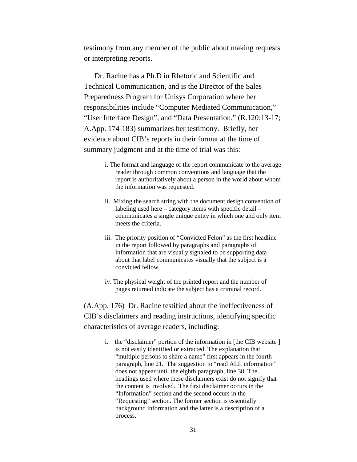testimony from any member of the public about making requests or interpreting reports.

Dr. Racine has a Ph.D in Rhetoric and Scientific and Technical Communication, and is the Director of the Sales Preparedness Program for Unisys Corporation where her responsibilities include "Computer Mediated Communication," "User Interface Design", and "Data Presentation." (R.120:13-17; A.App. 174-183) summarizes her testimony. Briefly, her evidence about CIB's reports in their format at the time of summary judgment and at the time of trial was this:

- i. The format and language of the report communicate to the average reader through common conventions and language that the report is authoritatively about a person in the world about whom the information was requested.
- ii. Mixing the search string with the document design convention of labeling used here – category items with specific detail – communicates a single unique entity in which one and only item meets the criteria.
- iii. The priority position of "Convicted Felon" as the first headline in the report followed by paragraphs and paragraphs of information that are visually signaled to be supporting data about that label communicates visually that the subject is a convicted fellow.
- iv. The physical weight of the printed report and the number of pages returned indicate the subject has a criminal record.

(A.App. 176) Dr. Racine testified about the ineffectiveness of CIB's disclaimers and reading instructions, identifying specific characteristics of average readers, including:

> i. the "disclaimer" portion of the information in [the CIB website ] is not easily identified or extracted. The explanation that "multiple persons to share a name" first appears in the fourth paragraph, line 21. The suggestion to "read ALL information" does not appear until the eighth paragraph, line 38. The headings used where these disclaimers exist do not signify that the content is involved. The first disclaimer occurs in the "Information" section and the second occurs in the "Requesting" section. The former section is essentially background information and the latter is a description of a process.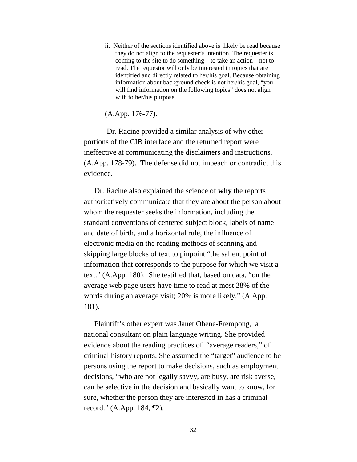ii. Neither of the sections identified above is likely be read because they do not align to the requester's intention. The requester is coming to the site to do something – to take an action – not to read. The requestor will only be interested in topics that are identified and directly related to her/his goal. Because obtaining information about background check is not her/his goal, "you will find information on the following topics" does not align with to her/his purpose.

(A.App. 176-77).

Dr. Racine provided a similar analysis of why other portions of the CIB interface and the returned report were ineffective at communicating the disclaimers and instructions. (A.App. 178-79). The defense did not impeach or contradict this evidence.

Dr. Racine also explained the science of **why** the reports authoritatively communicate that they are about the person about whom the requester seeks the information, including the standard conventions of centered subject block, labels of name and date of birth, and a horizontal rule, the influence of electronic media on the reading methods of scanning and skipping large blocks of text to pinpoint "the salient point of information that corresponds to the purpose for which we visit a text." (A.App. 180). She testified that, based on data, "on the average web page users have time to read at most 28% of the words during an average visit; 20% is more likely." (A.App. 181).

Plaintiff's other expert was Janet Ohene-Frempong, a national consultant on plain language writing. She provided evidence about the reading practices of "average readers," of criminal history reports. She assumed the "target" audience to be persons using the report to make decisions, such as employment decisions, "who are not legally savvy, are busy, are risk averse, can be selective in the decision and basically want to know, for sure, whether the person they are interested in has a criminal record." (A.App. 184, ¶2).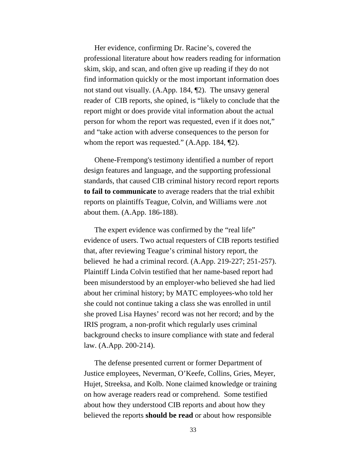Her evidence, confirming Dr. Racine's, covered the professional literature about how readers reading for information skim, skip, and scan, and often give up reading if they do not find information quickly or the most important information does not stand out visually. (A.App. 184, ¶2). The unsavy general reader of CIB reports, she opined, is "likely to conclude that the report might or does provide vital information about the actual person for whom the report was requested, even if it does not," and "take action with adverse consequences to the person for whom the report was requested." (A.App. 184, 12).

Ohene-Frempong's testimony identified a number of report design features and language, and the supporting professional standards, that caused CIB criminal history record report reports **to fail to communicate** to average readers that the trial exhibit reports on plaintiffs Teague, Colvin, and Williams were .not about them. (A.App. 186-188).

The expert evidence was confirmed by the "real life" evidence of users. Two actual requesters of CIB reports testified that, after reviewing Teague's criminal history report, the believed he had a criminal record. (A.App. 219-227; 251-257). Plaintiff Linda Colvin testified that her name-based report had been misunderstood by an employer-who believed she had lied about her criminal history; by MATC employees-who told her she could not continue taking a class she was enrolled in until she proved Lisa Haynes' record was not her record; and by the IRIS program, a non-profit which regularly uses criminal background checks to insure compliance with state and federal law. (A.App. 200-214).

The defense presented current or former Department of Justice employees, Neverman, O'Keefe, Collins, Gries, Meyer, Hujet, Streeksa, and Kolb. None claimed knowledge or training on how average readers read or comprehend. Some testified about how they understood CIB reports and about how they believed the reports **should be read** or about how responsible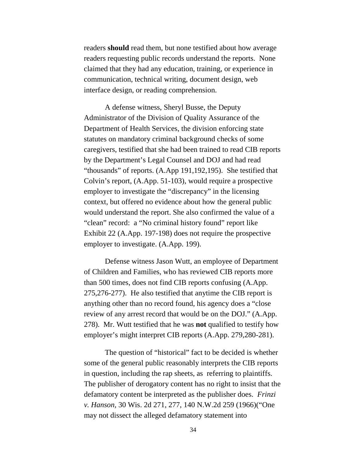readers **should** read them, but none testified about how average readers requesting public records understand the reports. None claimed that they had any education, training, or experience in communication, technical writing, document design, web interface design, or reading comprehension.

A defense witness, Sheryl Busse, the Deputy Administrator of the Division of Quality Assurance of the Department of Health Services, the division enforcing state statutes on mandatory criminal background checks of some caregivers, testified that she had been trained to read CIB reports by the Department's Legal Counsel and DOJ and had read "thousands" of reports. (A.App 191,192,195). She testified that Colvin's report, (A.App. 51-103), would require a prospective employer to investigate the "discrepancy" in the licensing context, but offered no evidence about how the general public would understand the report. She also confirmed the value of a "clean" record: a "No criminal history found" report like Exhibit 22 (A.App. 197-198) does not require the prospective employer to investigate. (A.App. 199).

Defense witness Jason Wutt, an employee of Department of Children and Families, who has reviewed CIB reports more than 500 times, does not find CIB reports confusing (A.App. 275,276-277). He also testified that anytime the CIB report is anything other than no record found, his agency does a "close review of any arrest record that would be on the DOJ." (A.App. 278). Mr. Wutt testified that he was **not** qualified to testify how employer's might interpret CIB reports (A.App. 279,280-281).

The question of "historical" fact to be decided is whether some of the general public reasonably interprets the CIB reports in question, including the rap sheets, as referring to plaintiffs. The publisher of derogatory content has no right to insist that the defamatory content be interpreted as the publisher does. *Frinzi v. Hanson,* 30 Wis. 2d 271, 277, 140 N.W.2d 259 (1966)("One may not dissect the alleged defamatory statement into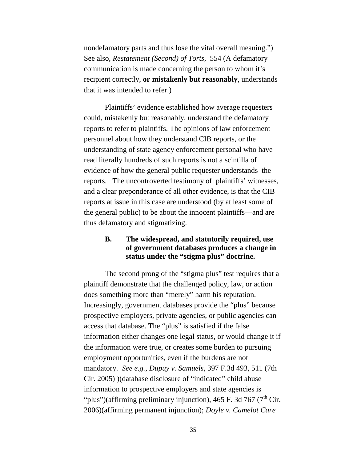nondefamatory parts and thus lose the vital overall meaning.") See also, *Restatement (Second) of Torts*, 554 (A defamatory communication is made concerning the person to whom it's recipient correctly, **or mistakenly but reasonably**, understands that it was intended to refer.)

Plaintiffs' evidence established how average requesters could, mistakenly but reasonably, understand the defamatory reports to refer to plaintiffs. The opinions of law enforcement personnel about how they understand CIB reports, or the understanding of state agency enforcement personal who have read literally hundreds of such reports is not a scintilla of evidence of how the general public requester understands the reports. The uncontroverted testimony of plaintiffs' witnesses, and a clear preponderance of all other evidence, is that the CIB reports at issue in this case are understood (by at least some of the general public) to be about the innocent plaintiffs—and are thus defamatory and stigmatizing.

## **B. The widespread, and statutorily required, use of government databases produces a change in status under the "stigma plus" doctrine.**

The second prong of the "stigma plus" test requires that a plaintiff demonstrate that the challenged policy, law, or action does something more than "merely" harm his reputation. Increasingly, government databases provide the "plus" because prospective employers, private agencies, or public agencies can access that database. The "plus" is satisfied if the false information either changes one legal status, or would change it if the information were true, or creates some burden to pursuing employment opportunities, even if the burdens are not mandatory. *See e.g.*, *Dupuy v. Samuels*, 397 F.3d 493, 511 (7th Cir. 2005) )(database disclosure of "indicated" child abuse information to prospective employers and state agencies is "plus")(affirming preliminary injunction), 465 F. 3d 767 ( $7<sup>th</sup>$  Cir. 2006)(affirming permanent injunction); *Doyle v. Camelot Care*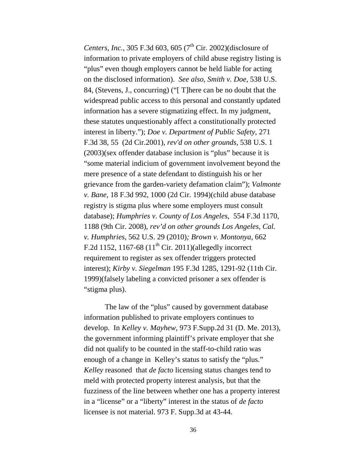*Centers, Inc.,* 305 F.3d 603, 605 ( $7^{\text{th}}$  Cir. 2002)(disclosure of information to private employers of child abuse registry listing is "plus" even though employers cannot be held liable for acting on the disclosed information). *See also, Smith v. Doe,* 538 U.S. 84, (Stevens, J., concurring) ("[ T]here can be no doubt that the widespread public access to this personal and constantly updated information has a severe stigmatizing effect. In my judgment, these statutes unquestionably affect a constitutionally protected interest in liberty."); *Doe v. Department of Public Safety,* 271 F.3d 38, 55 (2d Cir.2001), *rev'd on other grounds,* 538 U.S. 1 (2003)(sex offender database inclusion is "plus" because it is "some material indicium of government involvement beyond the mere presence of a state defendant to distinguish his or her grievance from the garden-variety defamation claim"); *Valmonte v. Bane*, 18 F.3d 992, 1000 (2d Cir. 1994)(child abuse database registry is stigma plus where some employers must consult database); *Humphries v. County of Los Angeles*, 554 F.3d 1170, 1188 (9th Cir. 2008), *rev'd on other grounds Los Angeles, Cal. v. Humphries*, 562 U.S. 29 (2010)*; Brown v. Montonya*, 662 F.2d 1152, 1167-68  $(11^{th}$  Cir. 2011)(allegedly incorrect requirement to register as sex offender triggers protected interest); *Kirby v. Siegelman* 195 F.3d 1285, 1291-92 (11th Cir. 1999)(falsely labeling a convicted prisoner a sex offender is "stigma plus).

The law of the "plus" caused by government database information published to private employers continues to develop. In *Kelley v. Mayhew,* 973 F.Supp.2d 31 (D. Me. 2013), the government informing plaintiff's private employer that she did not qualify to be counted in the staff-to-child ratio was enough of a change in Kelley's status to satisfy the "plus." *Kelley* reasoned that *de facto* licensing status changes tend to meld with protected property interest analysis, but that the fuzziness of the line between whether one has a property interest in a "license" or a "liberty" interest in the status of *de facto*  licensee is not material. 973 F. Supp.3d at 43-44.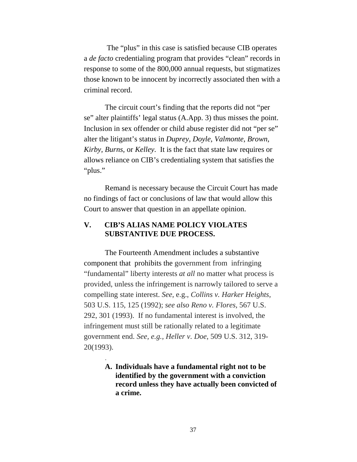The "plus" in this case is satisfied because CIB operates a *de facto* credentialing program that provides "clean" records in response to some of the 800,000 annual requests, but stigmatizes those known to be innocent by incorrectly associated then with a criminal record.

The circuit court's finding that the reports did not "per se" alter plaintiffs' legal status (A.App. 3) thus misses the point. Inclusion in sex offender or child abuse register did not "per se" alter the litigant's status in *Duprey, Doyle*, *Valmonte*, *Brown, Kirby, Burns,* or *Kelley.* It is the fact that state law requires or allows reliance on CIB's credentialing system that satisfies the "plus."

Remand is necessary because the Circuit Court has made no findings of fact or conclusions of law that would allow this Court to answer that question in an appellate opinion.

## **V. CIB'S ALIAS NAME POLICY VIOLATES SUBSTANTIVE DUE PROCESS.**

.

The Fourteenth Amendment includes a substantive component that prohibits the government from infringing "fundamental" liberty interests *at all* no matter what process is provided, unless the infringement is narrowly tailored to serve a compelling state interest. *See,* e.g., *Collins v. Harker Heights,* 503 U.S. 115, 125 (1992); *see also Reno v. Flores,* 567 U.S. 292, 301 (1993). If no fundamental interest is involved, the infringement must still be rationally related to a legitimate government end. *See, e.g., Heller v. Doe*, 509 U.S. 312, 319- 20(1993).

> **A. Individuals have a fundamental right not to be identified by the government with a conviction record unless they have actually been convicted of a crime.**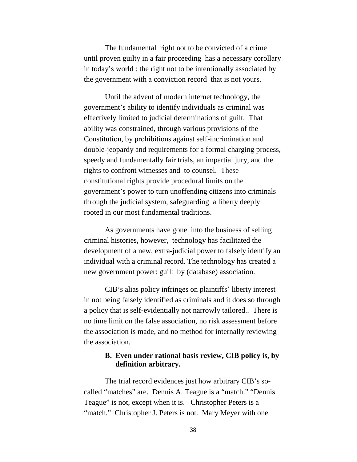The fundamental right not to be convicted of a crime until proven guilty in a fair proceeding has a necessary corollary in today's world : the right not to be intentionally associated by the government with a conviction record that is not yours.

Until the advent of modern internet technology, the government's ability to identify individuals as criminal was effectively limited to judicial determinations of guilt. That ability was constrained, through various provisions of the Constitution, by prohibitions against self-incrimination and double-jeopardy and requirements for a formal charging process, speedy and fundamentally fair trials, an impartial jury, and the rights to confront witnesses and to counsel. These constitutional rights provide procedural limits on the government's power to turn unoffending citizens into criminals through the judicial system, safeguarding a liberty deeply rooted in our most fundamental traditions.

As governments have gone into the business of selling criminal histories, however, technology has facilitated the development of a new, extra-judicial power to falsely identify an individual with a criminal record. The technology has created a new government power: guilt by (database) association.

CIB's alias policy infringes on plaintiffs' liberty interest in not being falsely identified as criminals and it does so through a policy that is self-evidentially not narrowly tailored.. There is no time limit on the false association, no risk assessment before the association is made, and no method for internally reviewing the association.

#### **B. Even under rational basis review, CIB policy is, by definition arbitrary.**

The trial record evidences just how arbitrary CIB's socalled "matches" are. Dennis A. Teague is a "match." "Dennis Teague" is not, except when it is. Christopher Peters is a "match." Christopher J. Peters is not. Mary Meyer with one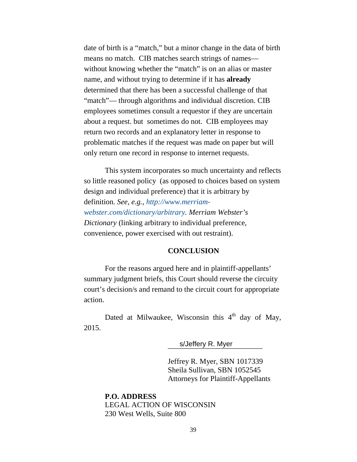date of birth is a "match," but a minor change in the data of birth means no match. CIB matches search strings of names without knowing whether the "match" is on an alias or master name, and without trying to determine if it has **already** determined that there has been a successful challenge of that "match"— through algorithms and individual discretion. CIB employees sometimes consult a requestor if they are uncertain about a request. but sometimes do not. CIB employees may return two records and an explanatory letter in response to problematic matches if the request was made on paper but will only return one record in response to internet requests.

This system incorporates so much uncertainty and reflects so little reasoned policy (as opposed to choices based on system design and individual preference) that it is arbitrary by definition. *See, e.g., [http://www.merriam](http://www.merriam-webster.com/dictionary/arbitrary)[webster.com/dictionary/arbitrary.](http://www.merriam-webster.com/dictionary/arbitrary) Merriam Webster's Dictionary* (linking arbitrary to individual preference, convenience, power exercised with out restraint).

#### **CONCLUSION**

For the reasons argued here and in plaintiff-appellants' summary judgment briefs, this Court should reverse the circuity court's decision/s and remand to the circuit court for appropriate action.

Dated at Milwaukee, Wisconsin this  $4<sup>th</sup>$  day of May, 2015.

\_\_\_\_\_\_\_\_\_\_\_\_\_\_\_\_\_\_\_\_\_\_\_\_\_ s/Jeffery R. Myer

Jeffrey R. Myer, SBN 1017339 Sheila Sullivan, SBN 1052545 Attorneys for Plaintiff-Appellants

**P.O. ADDRESS** LEGAL ACTION OF WISCONSIN 230 West Wells, Suite 800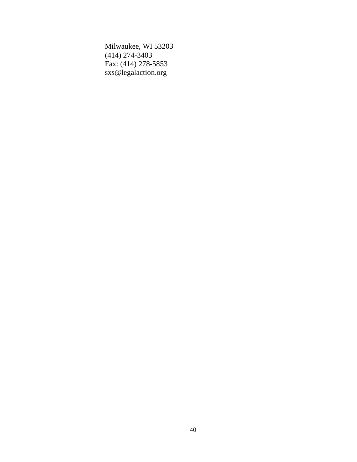Milwaukee, WI 53203 (414) 274-3403 Fax: (414) 278-5853 [sxs@legalaction.org](mailto:sxs@legalaction.org)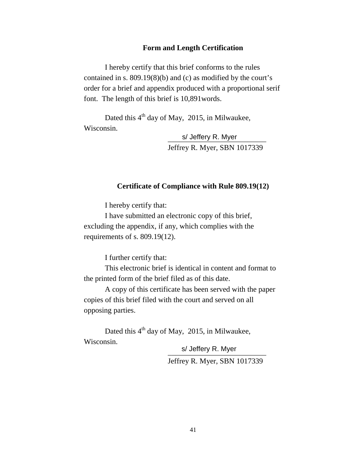#### **Form and Length Certification**

I hereby certify that this brief conforms to the rules contained in s. 809.19(8)(b) and (c) as modified by the court's order for a brief and appendix produced with a proportional serif font. The length of this brief is 10,891words.

Dated this 4<sup>th</sup> day of May, 2015, in Milwaukee, Wisconsin.

> \_\_\_\_\_\_\_\_\_\_\_\_\_\_\_\_\_\_\_\_\_\_\_\_\_\_ s/ Jeffery R. Myer Jeffrey R. Myer, SBN 1017339

#### **Certificate of Compliance with Rule 809.19(12)**

I hereby certify that:

I have submitted an electronic copy of this brief, excluding the appendix, if any, which complies with the requirements of s. 809.19(12).

I further certify that:

This electronic brief is identical in content and format to the printed form of the brief filed as of this date.

A copy of this certificate has been served with the paper copies of this brief filed with the court and served on all opposing parties.

Dated this  $4<sup>th</sup>$  day of May, 2015, in Milwaukee, Wisconsin.

> s/ Jeffery R. Myer Jeffrey R. Myer, SBN 1017339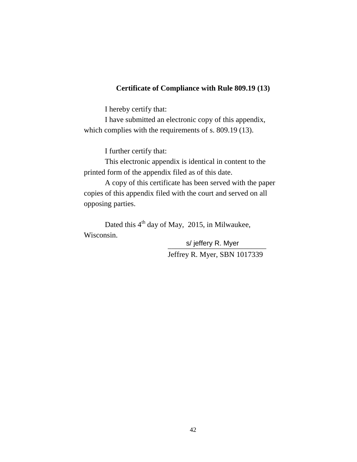## **Certificate of Compliance with Rule 809.19 (13)**

I hereby certify that:

I have submitted an electronic copy of this appendix, which complies with the requirements of s. 809.19 (13).

I further certify that:

This electronic appendix is identical in content to the printed form of the appendix filed as of this date.

A copy of this certificate has been served with the paper copies of this appendix filed with the court and served on all opposing parties.

Dated this 4<sup>th</sup> day of May, 2015, in Milwaukee, Wisconsin.

> \_\_\_\_\_\_\_\_\_\_\_\_\_\_\_\_\_\_\_\_\_\_\_\_\_\_ s/ jeffery R. MyerJeffrey R. Myer, SBN 1017339